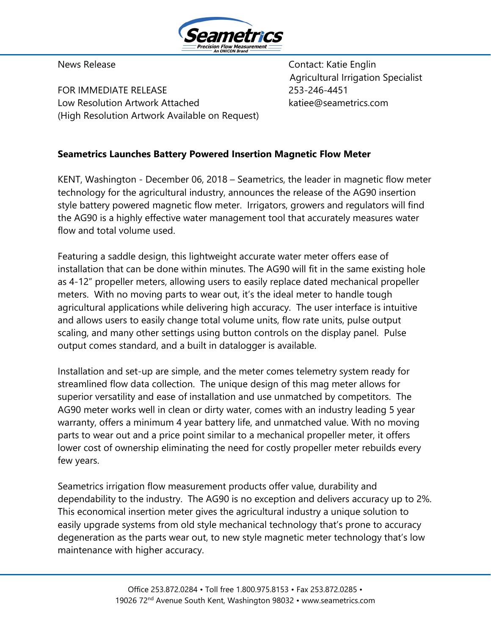

FOR IMMEDIATE RELEASE 253-246-4451 Low Resolution Artwork Attached katiee@seametrics.com (High Resolution Artwork Available on Request)

News Release **Contact:** Katie Englin Agricultural Irrigation Specialist

## **Seametrics Launches Battery Powered Insertion Magnetic Flow Meter**

KENT, Washington - December 06, 2018 – Seametrics, the leader in magnetic flow meter technology for the agricultural industry, announces the release of the AG90 insertion style battery powered magnetic flow meter. Irrigators, growers and regulators will find the AG90 is a highly effective water management tool that accurately measures water flow and total volume used.

Featuring a saddle design, this lightweight accurate water meter offers ease of installation that can be done within minutes. The AG90 will fit in the same existing hole as 4-12" propeller meters, allowing users to easily replace dated mechanical propeller meters. With no moving parts to wear out, it's the ideal meter to handle tough agricultural applications while delivering high accuracy. The user interface is intuitive and allows users to easily change total volume units, flow rate units, pulse output scaling, and many other settings using button controls on the display panel. Pulse output comes standard, and a built in datalogger is available.

Installation and set-up are simple, and the meter comes telemetry system ready for streamlined flow data collection. The unique design of this mag meter allows for superior versatility and ease of installation and use unmatched by competitors. The AG90 meter works well in clean or dirty water, comes with an industry leading 5 year warranty, offers a minimum 4 year battery life, and unmatched value. With no moving parts to wear out and a price point similar to a mechanical propeller meter, it offers lower cost of ownership eliminating the need for costly propeller meter rebuilds every few years.

Seametrics irrigation flow measurement products offer value, durability and dependability to the industry. The AG90 is no exception and delivers accuracy up to 2%. This economical insertion meter gives the agricultural industry a unique solution to easily upgrade systems from old style mechanical technology that's prone to accuracy degeneration as the parts wear out, to new style magnetic meter technology that's low maintenance with higher accuracy.